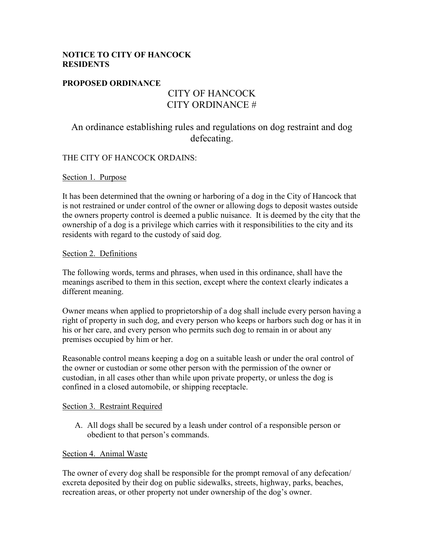## **NOTICE TO CITY OF HANCOCK RESIDENTS**

# **PROPOSED ORDINANCE**

# CITY OF HANCOCK CITY ORDINANCE #

# An ordinance establishing rules and regulations on dog restraint and dog defecating.

## THE CITY OF HANCOCK ORDAINS:

#### Section 1. Purpose

It has been determined that the owning or harboring of a dog in the City of Hancock that is not restrained or under control of the owner or allowing dogs to deposit wastes outside the owners property control is deemed a public nuisance. It is deemed by the city that the ownership of a dog is a privilege which carries with it responsibilities to the city and its residents with regard to the custody of said dog.

#### Section 2. Definitions

The following words, terms and phrases, when used in this ordinance, shall have the meanings ascribed to them in this section, except where the context clearly indicates a different meaning.

Owner means when applied to proprietorship of a dog shall include every person having a right of property in such dog, and every person who keeps or harbors such dog or has it in his or her care, and every person who permits such dog to remain in or about any premises occupied by him or her.

Reasonable control means keeping a dog on a suitable leash or under the oral control of the owner or custodian or some other person with the permission of the owner or custodian, in all cases other than while upon private property, or unless the dog is confined in a closed automobile, or shipping receptacle.

#### Section 3. Restraint Required

A. All dogs shall be secured by a leash under control of a responsible person or obedient to that person's commands.

#### Section 4. Animal Waste

The owner of every dog shall be responsible for the prompt removal of any defecation/ excreta deposited by their dog on public sidewalks, streets, highway, parks, beaches, recreation areas, or other property not under ownership of the dog's owner.